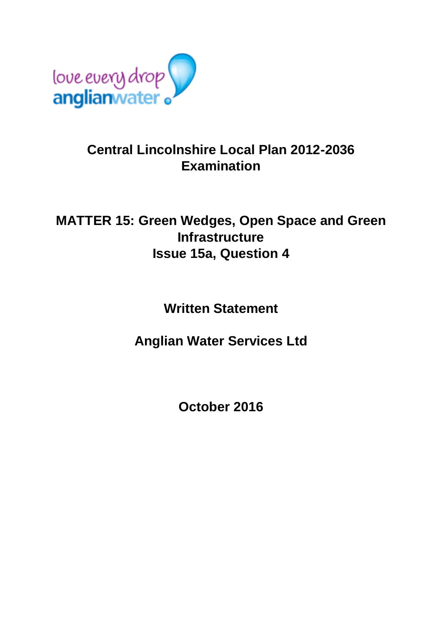

## **Central Lincolnshire Local Plan 2012-2036 Examination**

## **MATTER 15: Green Wedges, Open Space and Green Infrastructure Issue 15a, Question 4**

## **Written Statement**

**Anglian Water Services Ltd**

**October 2016**